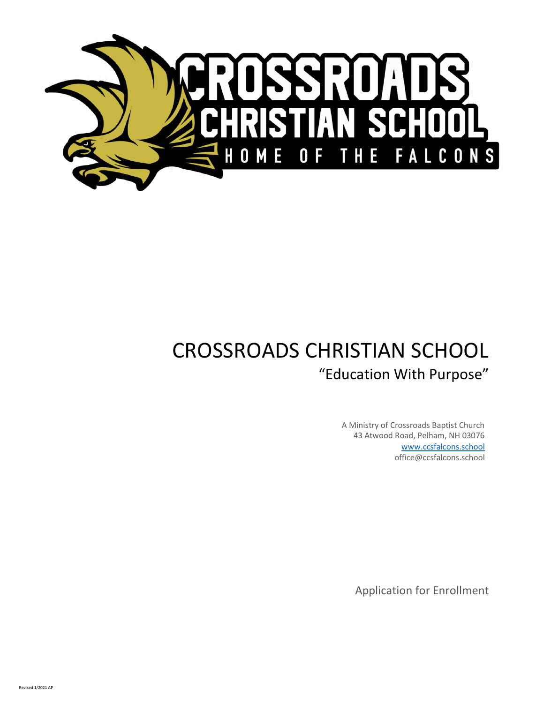

# CROSSROADS CHRISTIAN SCHOOL "Education With Purpose"

A Ministry of Crossroads Baptist Church 43 Atwood Road, Pelham, NH 03076 www.ccsfalcons.school office@ccsfalcons.school

Application for Enrollment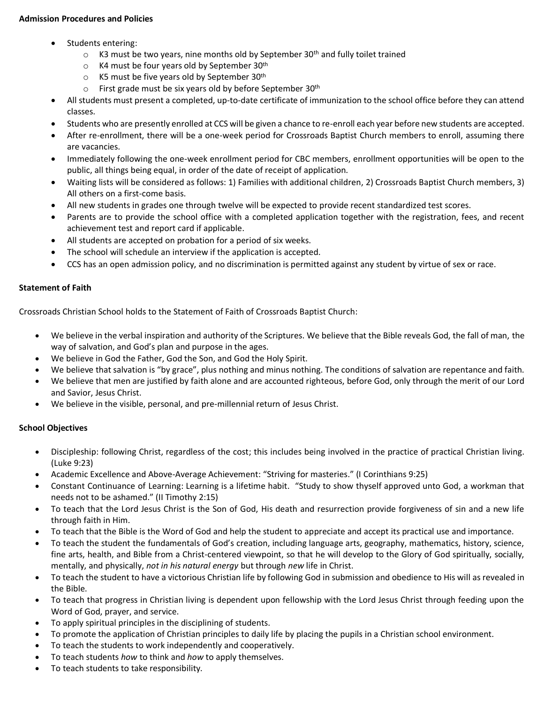## **Admission Procedures and Policies**

- Students entering:
	- $\circ$  K3 must be two years, nine months old by September 30<sup>th</sup> and fully toilet trained
	- $\circ$  K4 must be four years old by September 30<sup>th</sup>
	- $\circ$  K5 must be five years old by September 30<sup>th</sup>
	- $\circ$  First grade must be six years old by before September 30<sup>th</sup>
- All students must present a completed, up-to-date certificate of immunization to the school office before they can attend classes.
- Students who are presently enrolled at CCS will be given a chance to re-enroll each year before new students are accepted.
- After re-enrollment, there will be a one-week period for Crossroads Baptist Church members to enroll, assuming there are vacancies.
- Immediately following the one-week enrollment period for CBC members, enrollment opportunities will be open to the public, all things being equal, in order of the date of receipt of application.
- Waiting lists will be considered as follows: 1) Families with additional children, 2) Crossroads Baptist Church members, 3) All others on a first-come basis.
- All new students in grades one through twelve will be expected to provide recent standardized test scores.
- Parents are to provide the school office with a completed application together with the registration, fees, and recent achievement test and report card if applicable.
- All students are accepted on probation for a period of six weeks.
- The school will schedule an interview if the application is accepted.
- CCS has an open admission policy, and no discrimination is permitted against any student by virtue of sex or race.

## **Statement of Faith**

Crossroads Christian School holds to the Statement of Faith of Crossroads Baptist Church:

- We believe in the verbal inspiration and authority of the Scriptures. We believe that the Bible reveals God, the fall of man, the way of salvation, and God's plan and purpose in the ages.
- We believe in God the Father, God the Son, and God the Holy Spirit.
- We believe that salvation is "by grace", plus nothing and minus nothing. The conditions of salvation are repentance and faith.
- We believe that men are justified by faith alone and are accounted righteous, before God, only through the merit of our Lord and Savior, Jesus Christ.
- We believe in the visible, personal, and pre-millennial return of Jesus Christ.

## **School Objectives**

- Discipleship: following Christ, regardless of the cost; this includes being involved in the practice of practical Christian living. (Luke 9:23)
- Academic Excellence and Above-Average Achievement: "Striving for masteries." (I Corinthians 9:25)
- Constant Continuance of Learning: Learning is a lifetime habit. "Study to show thyself approved unto God, a workman that needs not to be ashamed." (II Timothy 2:15)
- To teach that the Lord Jesus Christ is the Son of God, His death and resurrection provide forgiveness of sin and a new life through faith in Him.
- To teach that the Bible is the Word of God and help the student to appreciate and accept its practical use and importance.
- To teach the student the fundamentals of God's creation, including language arts, geography, mathematics, history, science, fine arts, health, and Bible from a Christ-centered viewpoint, so that he will develop to the Glory of God spiritually, socially, mentally, and physically, *not in his natural energy* but through *new* life in Christ.
- To teach the student to have a victorious Christian life by following God in submission and obedience to His will as revealed in the Bible.
- To teach that progress in Christian living is dependent upon fellowship with the Lord Jesus Christ through feeding upon the Word of God, prayer, and service.
- To apply spiritual principles in the disciplining of students.
- To promote the application of Christian principles to daily life by placing the pupils in a Christian school environment.
- To teach the students to work independently and cooperatively.
- To teach students *how* to think and *how* to apply themselves.
- To teach students to take responsibility.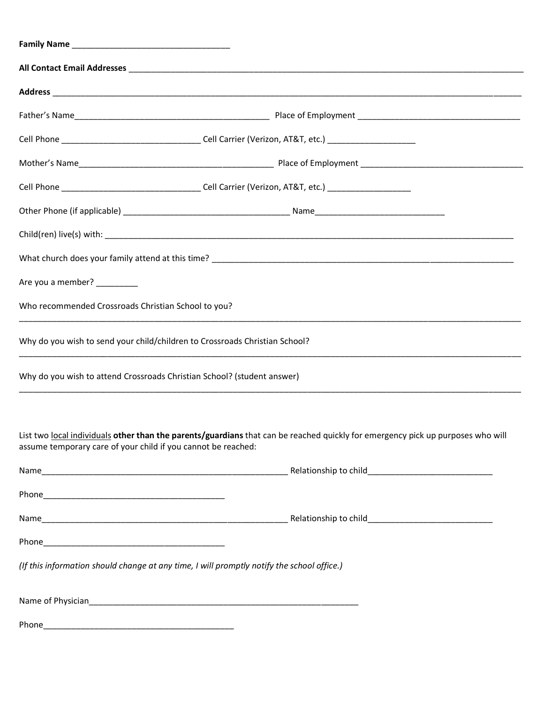| Are you a member? _________                                                                |                                                                                                                                 |  |  |  |  |
|--------------------------------------------------------------------------------------------|---------------------------------------------------------------------------------------------------------------------------------|--|--|--|--|
| Who recommended Crossroads Christian School to you?                                        |                                                                                                                                 |  |  |  |  |
| Why do you wish to send your child/children to Crossroads Christian School?                |                                                                                                                                 |  |  |  |  |
| Why do you wish to attend Crossroads Christian School? (student answer)                    |                                                                                                                                 |  |  |  |  |
| assume temporary care of your child if you cannot be reached:                              | List two local individuals other than the parents/guardians that can be reached quickly for emergency pick up purposes who will |  |  |  |  |
|                                                                                            |                                                                                                                                 |  |  |  |  |
|                                                                                            |                                                                                                                                 |  |  |  |  |
|                                                                                            |                                                                                                                                 |  |  |  |  |
|                                                                                            |                                                                                                                                 |  |  |  |  |
| (If this information should change at any time, I will promptly notify the school office.) |                                                                                                                                 |  |  |  |  |
|                                                                                            |                                                                                                                                 |  |  |  |  |
|                                                                                            |                                                                                                                                 |  |  |  |  |